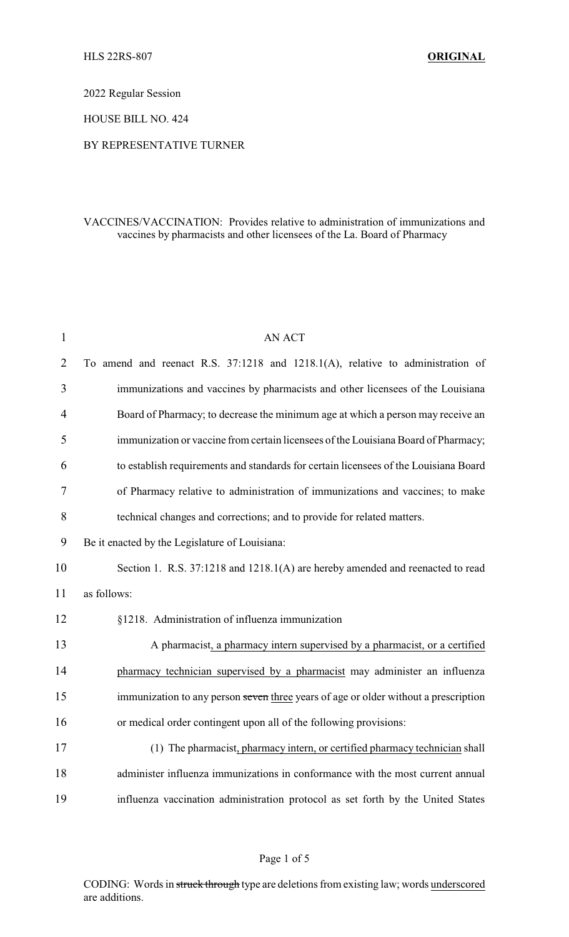2022 Regular Session

HOUSE BILL NO. 424

## BY REPRESENTATIVE TURNER

## VACCINES/VACCINATION: Provides relative to administration of immunizations and vaccines by pharmacists and other licensees of the La. Board of Pharmacy

| $\mathbf{1}$   | <b>AN ACT</b>                                                                        |  |  |
|----------------|--------------------------------------------------------------------------------------|--|--|
| $\overline{2}$ | To amend and reenact R.S. 37:1218 and 1218.1(A), relative to administration of       |  |  |
| 3              | immunizations and vaccines by pharmacists and other licensees of the Louisiana       |  |  |
| $\overline{4}$ | Board of Pharmacy; to decrease the minimum age at which a person may receive an      |  |  |
| 5              | immunization or vaccine from certain licensees of the Louisiana Board of Pharmacy;   |  |  |
| 6              | to establish requirements and standards for certain licensees of the Louisiana Board |  |  |
| 7              | of Pharmacy relative to administration of immunizations and vaccines; to make        |  |  |
| 8              | technical changes and corrections; and to provide for related matters.               |  |  |
| 9              | Be it enacted by the Legislature of Louisiana:                                       |  |  |
| 10             | Section 1. R.S. 37:1218 and 1218.1(A) are hereby amended and reenacted to read       |  |  |
| 11             | as follows:                                                                          |  |  |
| 12             | §1218. Administration of influenza immunization                                      |  |  |
| 13             | A pharmacist, a pharmacy intern supervised by a pharmacist, or a certified           |  |  |
| 14             | pharmacy technician supervised by a pharmacist may administer an influenza           |  |  |
| 15             | immunization to any person seven three years of age or older without a prescription  |  |  |
| 16             | or medical order contingent upon all of the following provisions:                    |  |  |
| 17             | (1) The pharmacist, pharmacy intern, or certified pharmacy technician shall          |  |  |
| 18             | administer influenza immunizations in conformance with the most current annual       |  |  |
| 19             | influenza vaccination administration protocol as set forth by the United States      |  |  |

CODING: Words in struck through type are deletions from existing law; words underscored are additions.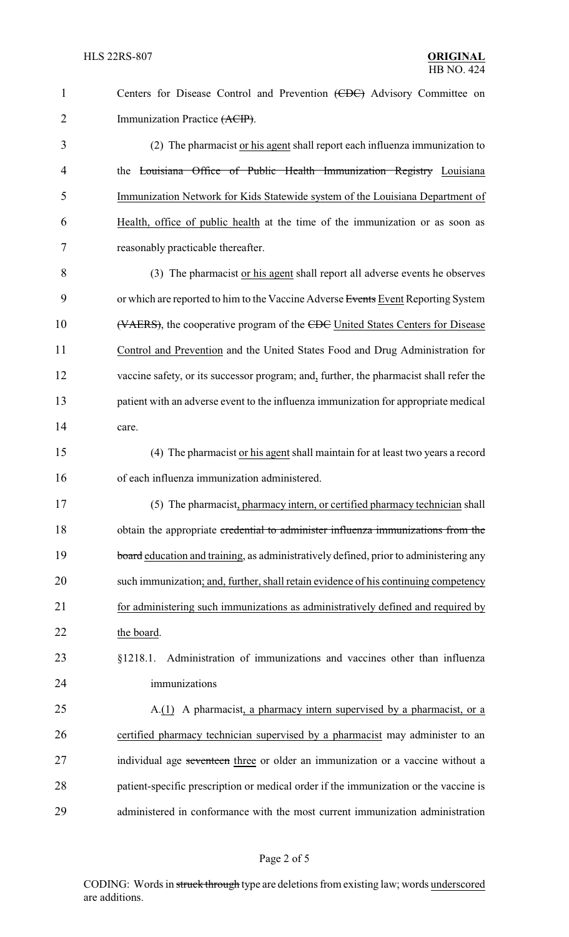| $\mathbf{1}$   | Centers for Disease Control and Prevention (CDC) Advisory Committee on                 |
|----------------|----------------------------------------------------------------------------------------|
| $\overline{2}$ | Immunization Practice (ACIP).                                                          |
| 3              | (2) The pharmacist or his agent shall report each influenza immunization to            |
| 4              | the Louisiana Office of Public Health Immunization Registry Louisiana                  |
| 5              | Immunization Network for Kids Statewide system of the Louisiana Department of          |
| 6              | Health, office of public health at the time of the immunization or as soon as          |
| 7              | reasonably practicable thereafter.                                                     |
| 8              | (3) The pharmacist or his agent shall report all adverse events he observes            |
| 9              | or which are reported to him to the Vaccine Adverse Events Event Reporting System      |
| 10             | (VAERS), the cooperative program of the CDC United States Centers for Disease          |
| 11             | Control and Prevention and the United States Food and Drug Administration for          |
| 12             | vaccine safety, or its successor program; and, further, the pharmacist shall refer the |
| 13             | patient with an adverse event to the influenza immunization for appropriate medical    |
| 14             | care.                                                                                  |
| 15             | (4) The pharmacist or his agent shall maintain for at least two years a record         |
| 16             | of each influenza immunization administered.                                           |
| 17             | (5) The pharmacist, pharmacy intern, or certified pharmacy technician shall            |
| 18             | obtain the appropriate credential to administer influenza immunizations from the       |
| 19             | board education and training, as administratively defined, prior to administering any  |
| 20             | such immunization; and, further, shall retain evidence of his continuing competency    |
| 21             | for administering such immunizations as administratively defined and required by       |
| 22             | the board.                                                                             |
| 23             | Administration of immunizations and vaccines other than influenza<br>§1218.1.          |
| 24             | immunizations                                                                          |
| 25             | A.(1) A pharmacist, a pharmacy intern supervised by a pharmacist, or a                 |
| 26             | certified pharmacy technician supervised by a pharmacist may administer to an          |
| 27             | individual age seventeen three or older an immunization or a vaccine without a         |
| 28             | patient-specific prescription or medical order if the immunization or the vaccine is   |
| 29             | administered in conformance with the most current immunization administration          |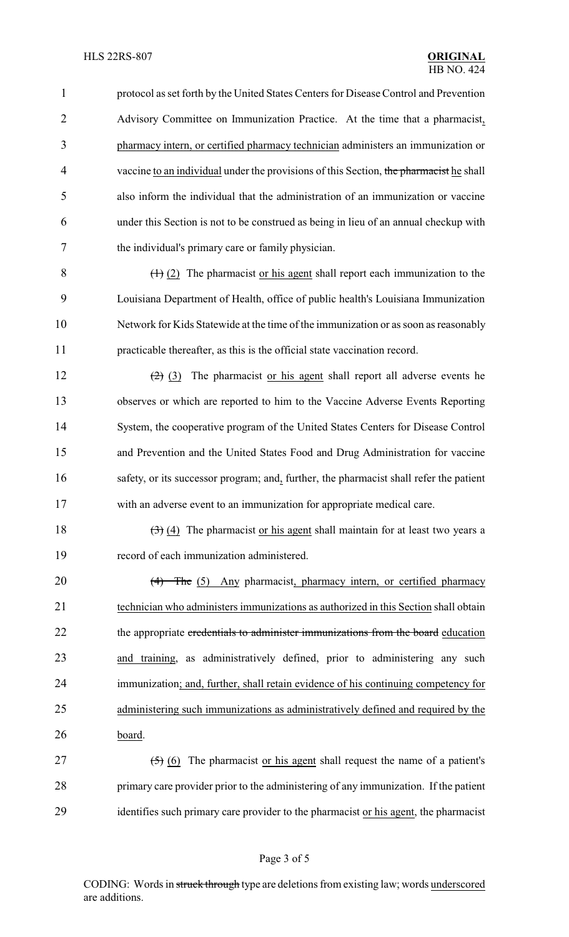protocol as set forth by the United States Centers for Disease Control and Prevention Advisory Committee on Immunization Practice. At the time that a pharmacist, pharmacy intern, or certified pharmacy technician administers an immunization or 4 vaccine to an individual under the provisions of this Section, the pharmacist he shall also inform the individual that the administration of an immunization or vaccine under this Section is not to be construed as being in lieu of an annual checkup with the individual's primary care or family physician.

 $\left(\frac{1}{2}\right)$  (2) The pharmacist or his agent shall report each immunization to the Louisiana Department of Health, office of public health's Louisiana Immunization Network for Kids Statewide at the time of the immunization or as soon as reasonably practicable thereafter, as this is the official state vaccination record.

 $(2)$  (3) The pharmacist or his agent shall report all adverse events he observes or which are reported to him to the Vaccine Adverse Events Reporting System, the cooperative program of the United States Centers for Disease Control and Prevention and the United States Food and Drug Administration for vaccine safety, or its successor program; and, further, the pharmacist shall refer the patient with an adverse event to an immunization for appropriate medical care.

18  $(3)(4)$  The pharmacist or his agent shall maintain for at least two years a record of each immunization administered.

20 (4) The (5) Any pharmacist, pharmacy intern, or certified pharmacy technician who administers immunizations as authorized in this Section shall obtain 22 the appropriate credentials to administer immunizations from the board education and training, as administratively defined, prior to administering any such immunization; and, further, shall retain evidence of his continuing competency for administering such immunizations as administratively defined and required by the board.

27  $(5)$  (6) The pharmacist or his agent shall request the name of a patient's primary care provider prior to the administering of any immunization. If the patient identifies such primary care provider to the pharmacist or his agent, the pharmacist

CODING: Words in struck through type are deletions from existing law; words underscored are additions.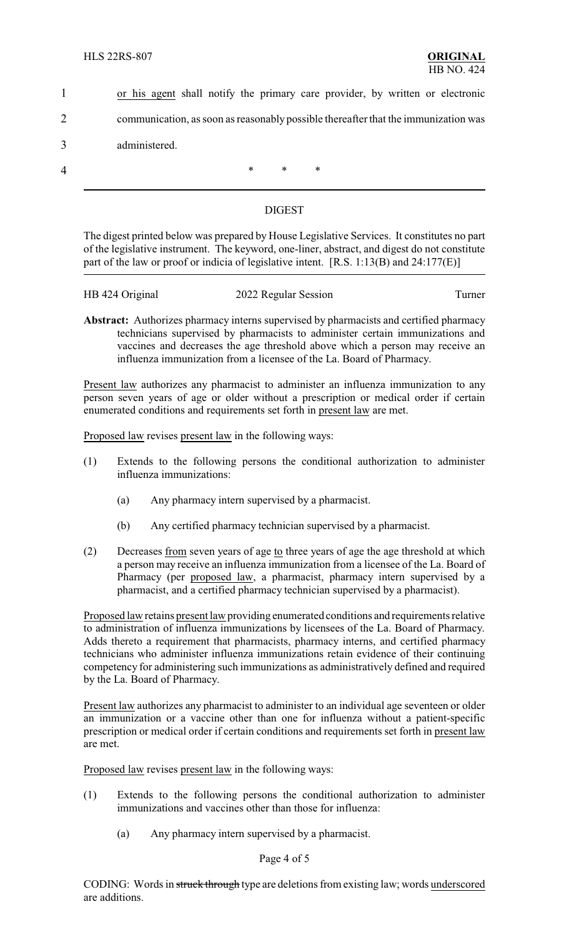- 1 or his agent shall notify the primary care provider, by written or electronic 2 communication, as soon as reasonablypossible thereafter that the immunization was 3 administered.
- 

4 \* \* \* \*

## DIGEST

The digest printed below was prepared by House Legislative Services. It constitutes no part of the legislative instrument. The keyword, one-liner, abstract, and digest do not constitute part of the law or proof or indicia of legislative intent. [R.S. 1:13(B) and 24:177(E)]

| HB 424 Original | 2022 Regular Session | l`urner |
|-----------------|----------------------|---------|
|                 |                      |         |

**Abstract:** Authorizes pharmacy interns supervised by pharmacists and certified pharmacy technicians supervised by pharmacists to administer certain immunizations and vaccines and decreases the age threshold above which a person may receive an influenza immunization from a licensee of the La. Board of Pharmacy.

Present law authorizes any pharmacist to administer an influenza immunization to any person seven years of age or older without a prescription or medical order if certain enumerated conditions and requirements set forth in present law are met.

Proposed law revises present law in the following ways:

- (1) Extends to the following persons the conditional authorization to administer influenza immunizations:
	- (a) Any pharmacy intern supervised by a pharmacist.
	- (b) Any certified pharmacy technician supervised by a pharmacist.
- (2) Decreases from seven years of age to three years of age the age threshold at which a person may receive an influenza immunization from a licensee of the La. Board of Pharmacy (per proposed law, a pharmacist, pharmacy intern supervised by a pharmacist, and a certified pharmacy technician supervised by a pharmacist).

Proposed law retains present law providing enumerated conditions and requirements relative to administration of influenza immunizations by licensees of the La. Board of Pharmacy. Adds thereto a requirement that pharmacists, pharmacy interns, and certified pharmacy technicians who administer influenza immunizations retain evidence of their continuing competency for administering such immunizations as administratively defined and required by the La. Board of Pharmacy.

Present law authorizes any pharmacist to administer to an individual age seventeen or older an immunization or a vaccine other than one for influenza without a patient-specific prescription or medical order if certain conditions and requirements set forth in present law are met.

Proposed law revises present law in the following ways:

- (1) Extends to the following persons the conditional authorization to administer immunizations and vaccines other than those for influenza:
	- (a) Any pharmacy intern supervised by a pharmacist.

## Page 4 of 5